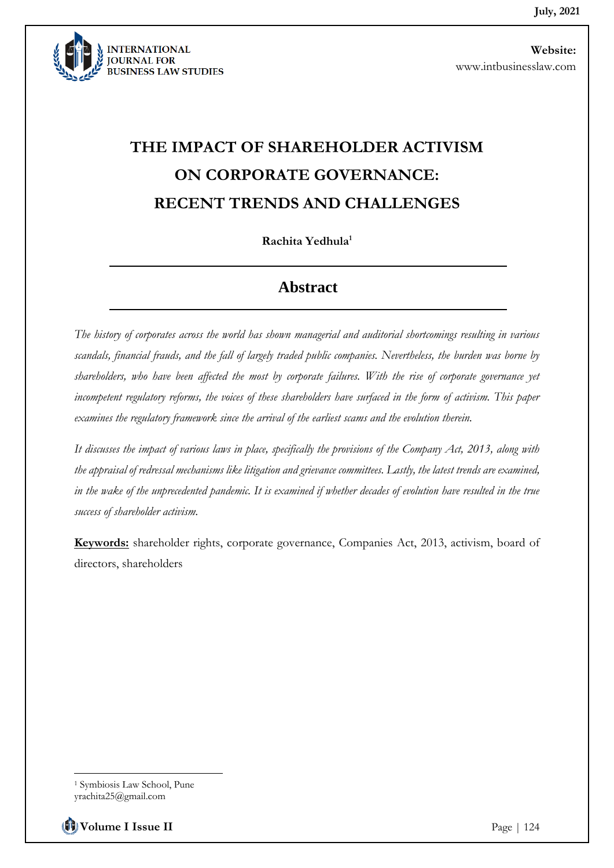

# **THE IMPACT OF SHAREHOLDER ACTIVISM ON CORPORATE GOVERNANCE: RECENT TRENDS AND CHALLENGES**

**Rachita Yedhula<sup>1</sup>**

#### **Abstract**

*The history of corporates across the world has shown managerial and auditorial shortcomings resulting in various scandals, financial frauds, and the fall of largely traded public companies. Nevertheless, the burden was borne by shareholders, who have been affected the most by corporate failures. With the rise of corporate governance yet incompetent regulatory reforms, the voices of these shareholders have surfaced in the form of activism. This paper examines the regulatory framework since the arrival of the earliest scams and the evolution therein.* 

*It discusses the impact of various laws in place, specifically the provisions of the Company Act, 2013, along with the appraisal of redressal mechanisms like litigation and grievance committees. Lastly, the latest trends are examined,*  in the wake of the unprecedented pandemic. It is examined if whether decades of evolution have resulted in the true *success of shareholder activism.*

**Keywords:** shareholder rights, corporate governance, Companies Act, 2013, activism, board of directors, shareholders

**Volume I Issue II** Page | 124

<sup>1</sup> Symbiosis Law School, Pune

yrachita25@gmail.com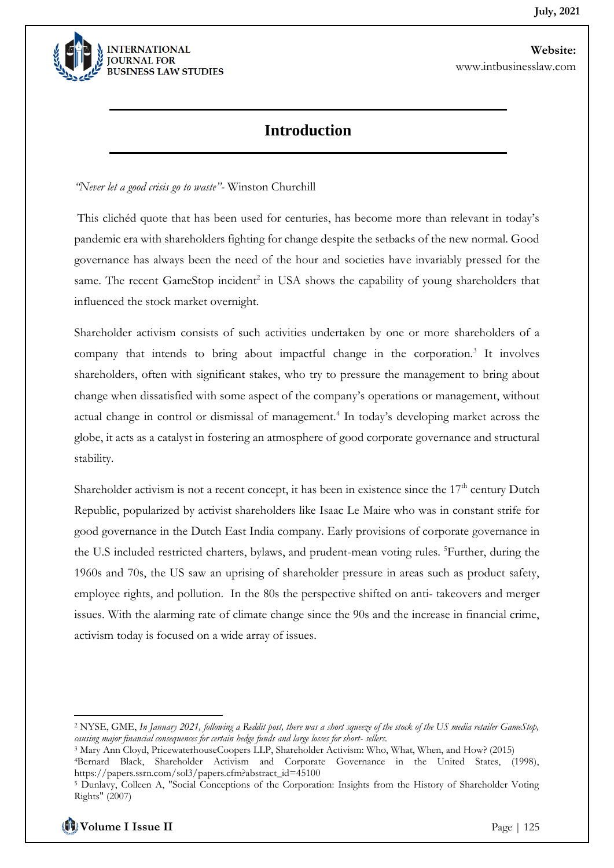

## **Introduction**

*"Never let a good crisis go to waste"-* Winston Churchill

This clichéd quote that has been used for centuries, has become more than relevant in today's pandemic era with shareholders fighting for change despite the setbacks of the new normal. Good governance has always been the need of the hour and societies have invariably pressed for the same. The recent GameStop incident<sup>2</sup> in USA shows the capability of young shareholders that influenced the stock market overnight.

Shareholder activism consists of such activities undertaken by one or more shareholders of a company that intends to bring about impactful change in the corporation.<sup>3</sup> It involves shareholders, often with significant stakes, who try to pressure the management to bring about change when dissatisfied with some aspect of the company's operations or management, without actual change in control or dismissal of management.<sup>4</sup> In today's developing market across the globe, it acts as a catalyst in fostering an atmosphere of good corporate governance and structural stability.

Shareholder activism is not a recent concept, it has been in existence since the  $17<sup>th</sup>$  century Dutch Republic, popularized by activist shareholders like Isaac Le Maire who was in constant strife for good governance in the Dutch East India company. Early provisions of corporate governance in the U.S included restricted charters, bylaws, and prudent-mean voting rules. <sup>5</sup>Further, during the 1960s and 70s, the US saw an uprising of shareholder pressure in areas such as product safety, employee rights, and pollution. In the 80s the perspective shifted on anti- takeovers and merger issues. With the alarming rate of climate change since the 90s and the increase in financial crime, activism today is focused on a wide array of issues.

<sup>2</sup> NYSE, GME, *In January 2021, following a Reddit post, there was a short squeeze of the stock of the US media retailer GameStop, causing major financial consequences for certain hedge funds and large losses for short- sellers.*

<sup>3</sup> Mary Ann Cloyd, PricewaterhouseCoopers LLP, Shareholder Activism: Who, What, When, and How? (2015)

<sup>4</sup>Bernard Black, Shareholder Activism and Corporate Governance in the United States, (1998), https://papers.ssrn.com/sol3/papers.cfm?abstract\_id=45100

<sup>5</sup> Dunlavy, Colleen A, "Social Conceptions of the Corporation: Insights from the History of Shareholder Voting Rights" (2007)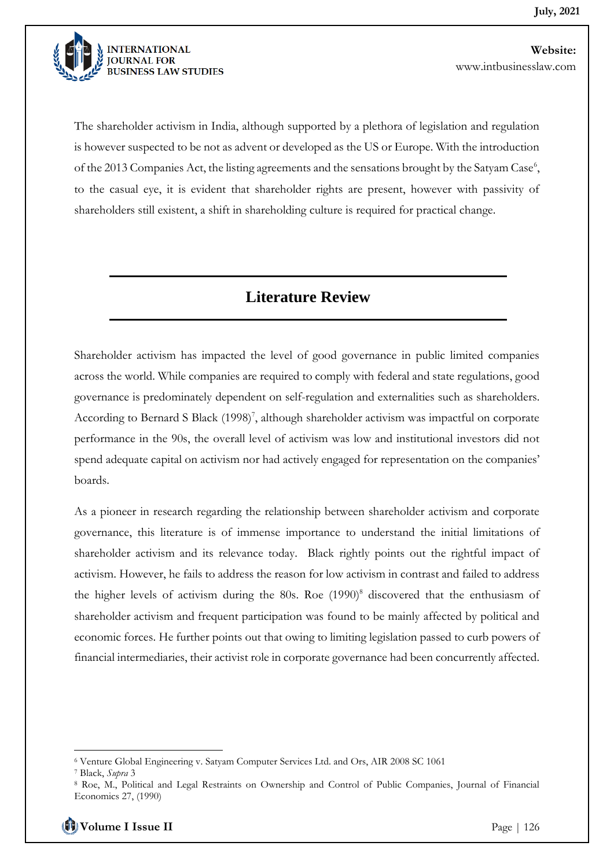

The shareholder activism in India, although supported by a plethora of legislation and regulation is however suspected to be not as advent or developed as the US or Europe. With the introduction of the 2013 Companies Act, the listing agreements and the sensations brought by the Satyam Case<sup>6</sup>, to the casual eye, it is evident that shareholder rights are present, however with passivity of shareholders still existent, a shift in shareholding culture is required for practical change.

## **Literature Review**

Shareholder activism has impacted the level of good governance in public limited companies across the world. While companies are required to comply with federal and state regulations, good governance is predominately dependent on self-regulation and externalities such as shareholders. According to Bernard S Black (1998)<sup>7</sup>, although shareholder activism was impactful on corporate performance in the 90s, the overall level of activism was low and institutional investors did not spend adequate capital on activism nor had actively engaged for representation on the companies' boards.

As a pioneer in research regarding the relationship between shareholder activism and corporate governance, this literature is of immense importance to understand the initial limitations of shareholder activism and its relevance today. Black rightly points out the rightful impact of activism. However, he fails to address the reason for low activism in contrast and failed to address the higher levels of activism during the  $80s$ . Roe  $(1990)^8$  discovered that the enthusiasm of shareholder activism and frequent participation was found to be mainly affected by political and economic forces. He further points out that owing to limiting legislation passed to curb powers of financial intermediaries, their activist role in corporate governance had been concurrently affected.

<sup>6</sup> Venture Global Engineering v. Satyam Computer Services Ltd. and Ors, AIR 2008 SC 1061

<sup>7</sup> Black, *Supra* 3

<sup>8</sup> Roe, M., Political and Legal Restraints on Ownership and Control of Public Companies, Journal of Financial Economics 27, (1990)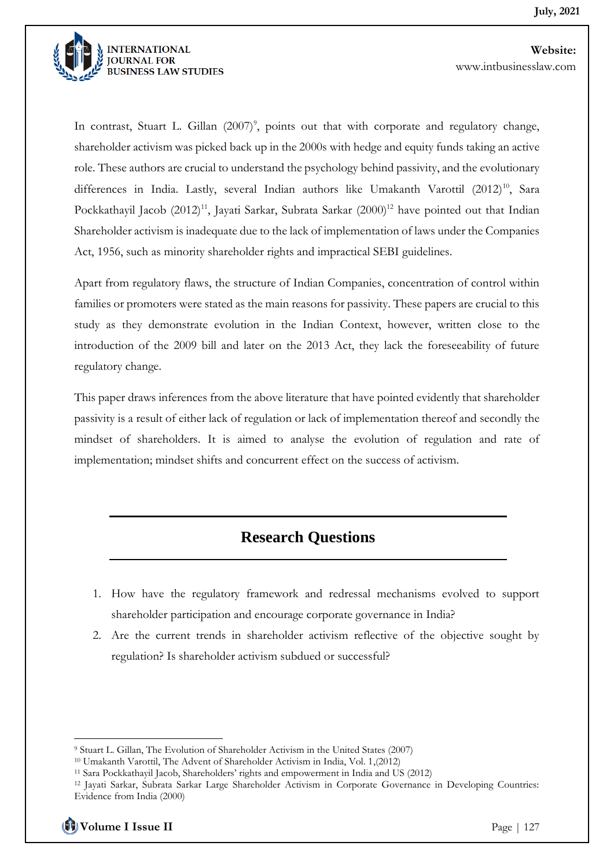

In contrast, Stuart L. Gillan (2007)<sup>9</sup>, points out that with corporate and regulatory change, shareholder activism was picked back up in the 2000s with hedge and equity funds taking an active role. These authors are crucial to understand the psychology behind passivity, and the evolutionary differences in India. Lastly, several Indian authors like Umakanth Varottil  $(2012)^{10}$ , Sara Pockkathayil Jacob (2012)<sup>11</sup>, Jayati Sarkar, Subrata Sarkar (2000)<sup>12</sup> have pointed out that Indian Shareholder activism is inadequate due to the lack of implementation of laws under the Companies Act, 1956, such as minority shareholder rights and impractical SEBI guidelines.

Apart from regulatory flaws, the structure of Indian Companies, concentration of control within families or promoters were stated as the main reasons for passivity. These papers are crucial to this study as they demonstrate evolution in the Indian Context, however, written close to the introduction of the 2009 bill and later on the 2013 Act, they lack the foreseeability of future regulatory change.

This paper draws inferences from the above literature that have pointed evidently that shareholder passivity is a result of either lack of regulation or lack of implementation thereof and secondly the mindset of shareholders. It is aimed to analyse the evolution of regulation and rate of implementation; mindset shifts and concurrent effect on the success of activism.

## **Research Questions**

- 1. How have the regulatory framework and redressal mechanisms evolved to support shareholder participation and encourage corporate governance in India?
- 2. Are the current trends in shareholder activism reflective of the objective sought by regulation? Is shareholder activism subdued or successful?

**Volume I Issue II** Page | 127

<sup>9</sup> Stuart L. Gillan, The Evolution of Shareholder Activism in the United States (2007)

<sup>10</sup> Umakanth Varottil, The Advent of Shareholder Activism in India, Vol. 1,(2012)

<sup>11</sup> Sara Pockkathayil Jacob, Shareholders' rights and empowerment in India and US (2012)

<sup>12</sup> Jayati Sarkar, Subrata Sarkar Large Shareholder Activism in Corporate Governance in Developing Countries: Evidence from India (2000)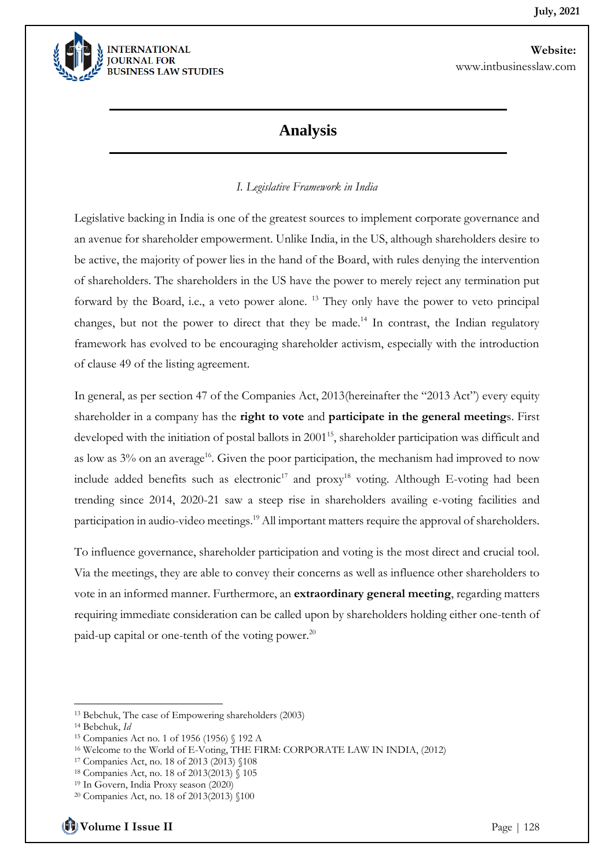

#### **Analysis**

#### *I. Legislative Framework in India*

Legislative backing in India is one of the greatest sources to implement corporate governance and an avenue for shareholder empowerment. Unlike India, in the US, although shareholders desire to be active, the majority of power lies in the hand of the Board, with rules denying the intervention of shareholders. The shareholders in the US have the power to merely reject any termination put forward by the Board, i.e., a veto power alone. <sup>13</sup> They only have the power to veto principal changes, but not the power to direct that they be made.<sup>14</sup> In contrast, the Indian regulatory framework has evolved to be encouraging shareholder activism, especially with the introduction of clause 49 of the listing agreement.

In general, as per section 47 of the Companies Act, 2013(hereinafter the "2013 Act") every equity shareholder in a company has the **right to vote** and **participate in the general meeting**s. First developed with the initiation of postal ballots in 2001<sup>15</sup>, shareholder participation was difficult and as low as  $3\%$  on an average<sup>16</sup>. Given the poor participation, the mechanism had improved to now include added benefits such as electronic<sup>17</sup> and proxy<sup>18</sup> voting. Although E-voting had been trending since 2014, 2020-21 saw a steep rise in shareholders availing e-voting facilities and participation in audio-video meetings.<sup>19</sup> All important matters require the approval of shareholders.

To influence governance, shareholder participation and voting is the most direct and crucial tool. Via the meetings, they are able to convey their concerns as well as influence other shareholders to vote in an informed manner. Furthermore, an **extraordinary general meeting**, regarding matters requiring immediate consideration can be called upon by shareholders holding either one-tenth of paid-up capital or one-tenth of the voting power. $^{20}$ 

<sup>13</sup> Bebchuk, The case of Empowering shareholders (2003)

<sup>14</sup> Bebchuk, *Id*

<sup>15</sup> Companies Act no. 1 of 1956 (1956) § 192 A

<sup>16</sup> Welcome to the World of E-Voting, THE FIRM: CORPORATE LAW IN INDIA, (2012)

<sup>17</sup> Companies Act, no. 18 of 2013 (2013) §108

<sup>18</sup> Companies Act, no. 18 of 2013(2013) § 105

<sup>19</sup> In Govern, India Proxy season (2020)

<sup>20</sup> Companies Act, no. 18 of 2013(2013) §100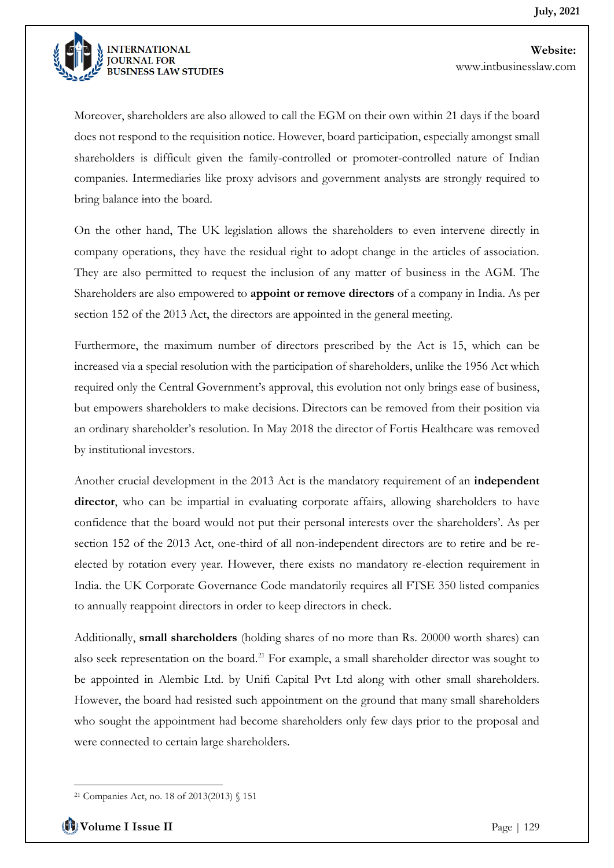

Moreover, shareholders are also allowed to call the EGM on their own within 21 days if the board does not respond to the requisition notice. However, board participation, especially amongst small shareholders is difficult given the family-controlled or promoter-controlled nature of Indian companies. Intermediaries like proxy advisors and government analysts are strongly required to bring balance into the board.

On the other hand, The UK legislation allows the shareholders to even intervene directly in company operations, they have the residual right to adopt change in the articles of association. They are also permitted to request the inclusion of any matter of business in the AGM. The Shareholders are also empowered to **appoint or remove directors** of a company in India. As per section 152 of the 2013 Act, the directors are appointed in the general meeting.

Furthermore, the maximum number of directors prescribed by the Act is 15, which can be increased via a special resolution with the participation of shareholders, unlike the 1956 Act which required only the Central Government's approval, this evolution not only brings ease of business, but empowers shareholders to make decisions. Directors can be removed from their position via an ordinary shareholder's resolution. In May 2018 the director of Fortis Healthcare was removed by institutional investors.

Another crucial development in the 2013 Act is the mandatory requirement of an **independent director**, who can be impartial in evaluating corporate affairs, allowing shareholders to have confidence that the board would not put their personal interests over the shareholders'. As per section 152 of the 2013 Act, one-third of all non-independent directors are to retire and be reelected by rotation every year. However, there exists no mandatory re-election requirement in India. the UK Corporate Governance Code mandatorily requires all FTSE 350 listed companies to annually reappoint directors in order to keep directors in check.

Additionally, **small shareholders** (holding shares of no more than Rs. 20000 worth shares) can also seek representation on the board.<sup>21</sup> For example, a small shareholder director was sought to be appointed in Alembic Ltd. by Unifi Capital Pvt Ltd along with other small shareholders. However, the board had resisted such appointment on the ground that many small shareholders who sought the appointment had become shareholders only few days prior to the proposal and were connected to certain large shareholders.

<sup>21</sup> Companies Act, no. 18 of 2013(2013) § 151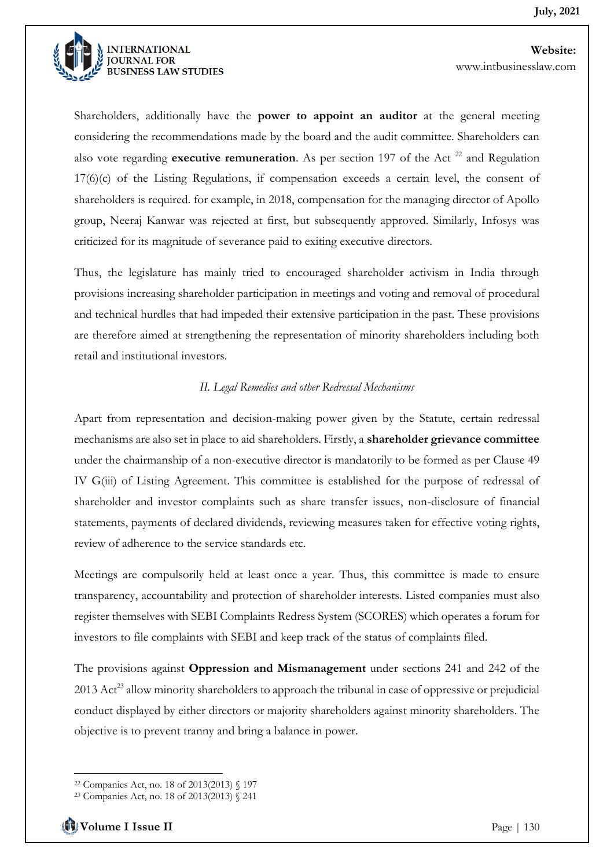

Shareholders, additionally have the **power to appoint an auditor** at the general meeting considering the recommendations made by the board and the audit committee. Shareholders can also vote regarding **executive remuneration**. As per section 197 of the Act  $^{22}$  and Regulation 17(6)(c) of the Listing Regulations, if compensation exceeds a certain level, the consent of shareholders is required. for example, in 2018, compensation for the managing director of Apollo group, Neeraj Kanwar was rejected at first, but subsequently approved. Similarly, Infosys was criticized for its magnitude of severance paid to exiting executive directors.

Thus, the legislature has mainly tried to encouraged shareholder activism in India through provisions increasing shareholder participation in meetings and voting and removal of procedural and technical hurdles that had impeded their extensive participation in the past. These provisions are therefore aimed at strengthening the representation of minority shareholders including both retail and institutional investors.

#### *II. Legal Remedies and other Redressal Mechanisms*

Apart from representation and decision-making power given by the Statute, certain redressal mechanisms are also set in place to aid shareholders. Firstly, a **shareholder grievance committee** under the chairmanship of a non-executive director is mandatorily to be formed as per Clause 49 IV G(iii) of Listing Agreement. This committee is established for the purpose of redressal of shareholder and investor complaints such as share transfer issues, non-disclosure of financial statements, payments of declared dividends, reviewing measures taken for effective voting rights, review of adherence to the service standards etc.

Meetings are compulsorily held at least once a year. Thus, this committee is made to ensure transparency, accountability and protection of shareholder interests. Listed companies must also register themselves with SEBI Complaints Redress System (SCORES) which operates a forum for investors to file complaints with SEBI and keep track of the status of complaints filed.

The provisions against **Oppression and Mismanagement** under sections 241 and 242 of the 2013 Act<sup>23</sup> allow minority shareholders to approach the tribunal in case of oppressive or prejudicial conduct displayed by either directors or majority shareholders against minority shareholders. The objective is to prevent tranny and bring a balance in power.

<sup>22</sup> Companies Act, no. 18 of 2013(2013) § 197

<sup>23</sup> Companies Act, no. 18 of 2013(2013) § 241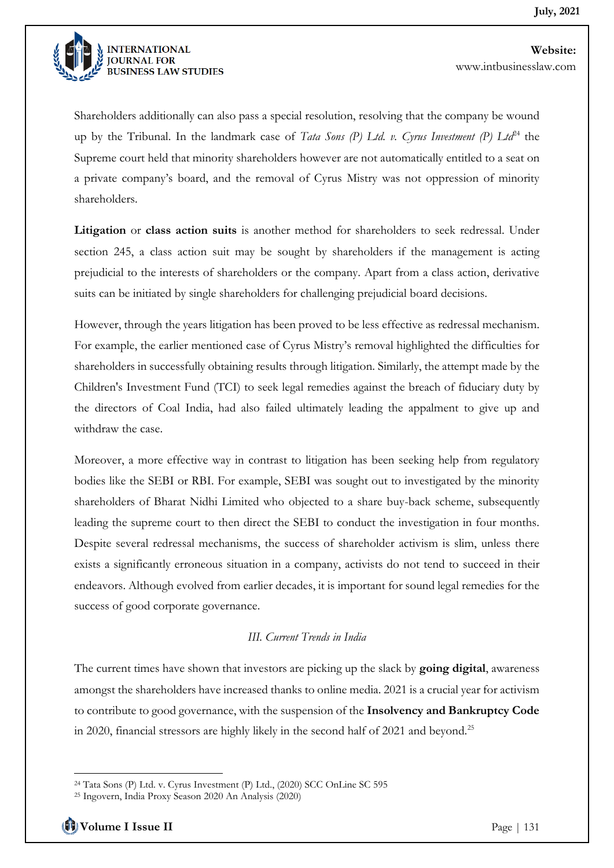

Shareholders additionally can also pass a special resolution, resolving that the company be wound up by the Tribunal. In the landmark case of *Tata Sons (P) Ltd. v. Cyrus Investment (P) Ltd*<sup>24</sup> the Supreme court held that minority shareholders however are not automatically entitled to a seat on a private company's board, and the removal of Cyrus Mistry was not oppression of minority shareholders.

**Litigation** or **class action suits** is another method for shareholders to seek redressal. Under section 245, a class action suit may be sought by shareholders if the management is acting prejudicial to the interests of shareholders or the company. Apart from a class action, derivative suits can be initiated by single shareholders for challenging prejudicial board decisions.

However, through the years litigation has been proved to be less effective as redressal mechanism. For example, the earlier mentioned case of Cyrus Mistry's removal highlighted the difficulties for shareholders in successfully obtaining results through litigation. Similarly, the attempt made by the Children's Investment Fund (TCI) to seek legal remedies against the breach of fiduciary duty by the directors of Coal India, had also failed ultimately leading the appalment to give up and withdraw the case.

Moreover, a more effective way in contrast to litigation has been seeking help from regulatory bodies like the SEBI or RBI. For example, SEBI was sought out to investigated by the minority shareholders of Bharat Nidhi Limited who objected to a share buy-back scheme, subsequently leading the supreme court to then direct the SEBI to conduct the investigation in four months. Despite several redressal mechanisms, the success of shareholder activism is slim, unless there exists a significantly erroneous situation in a company, activists do not tend to succeed in their endeavors. Although evolved from earlier decades, it is important for sound legal remedies for the success of good corporate governance.

#### *III. Current Trends in India*

The current times have shown that investors are picking up the slack by **going digital**, awareness amongst the shareholders have increased thanks to online media. 2021 is a crucial year for activism to contribute to good governance, with the suspension of the **Insolvency and Bankruptcy Code** in 2020, financial stressors are highly likely in the second half of 2021 and beyond.<sup>25</sup>

<sup>24</sup> Tata Sons (P) Ltd. v. Cyrus Investment (P) Ltd., (2020) SCC OnLine SC 595

<sup>25</sup> Ingovern, India Proxy Season 2020 An Analysis (2020)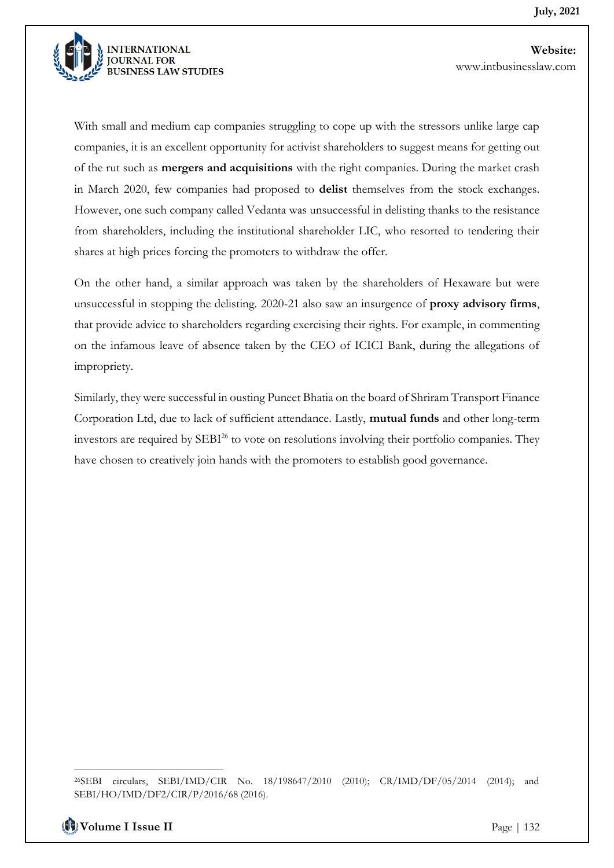

With small and medium cap companies struggling to cope up with the stressors unlike large cap companies, it is an excellent opportunity for activist shareholders to suggest means for getting out of the rut such as **mergers and acquisitions** with the right companies. During the market crash in March 2020, few companies had proposed to **delist** themselves from the stock exchanges. However, one such company called Vedanta was unsuccessful in delisting thanks to the resistance from shareholders, including the institutional shareholder LIC, who resorted to tendering their shares at high prices forcing the promoters to withdraw the offer.

On the other hand, a similar approach was taken by the shareholders of Hexaware but were unsuccessful in stopping the delisting. 2020-21 also saw an insurgence of **proxy advisory firms**, that provide advice to shareholders regarding exercising their rights. For example, in commenting on the infamous leave of absence taken by the CEO of ICICI Bank, during the allegations of impropriety.

Similarly, they were successful in ousting Puneet Bhatia on the board of Shriram Transport Finance Corporation Ltd, due to lack of sufficient attendance. Lastly, **mutual funds** and other long-term investors are required by SEBI<sup>26</sup> to vote on resolutions involving their portfolio companies. They have chosen to creatively join hands with the promoters to establish good governance.

<sup>26</sup>SEBI circulars, SEBI/IMD/CIR No. 18/198647/2010 (2010); CR/IMD/DF/05/2014 (2014); and SEBI/HO/IMD/DF2/CIR/P/2016/68 (2016).